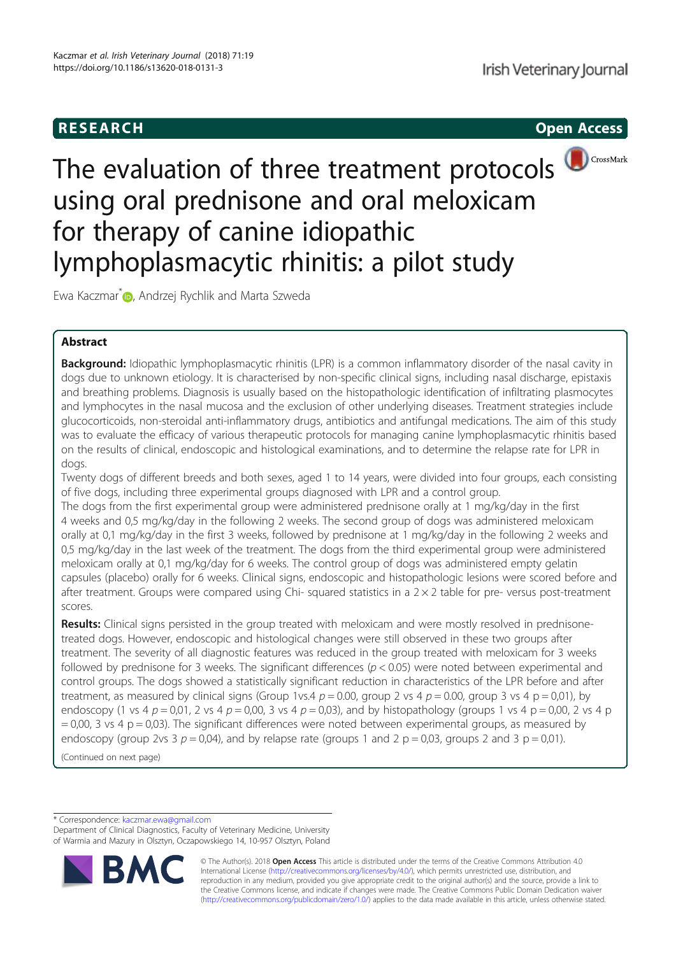

CrossMark



Ewa Kaczmar<sup>\*</sup> D, Andrzej Rychlik and Marta Szweda

# Abstract

Background: Idiopathic lymphoplasmacytic rhinitis (LPR) is a common inflammatory disorder of the nasal cavity in dogs due to unknown etiology. It is characterised by non-specific clinical signs, including nasal discharge, epistaxis and breathing problems. Diagnosis is usually based on the histopathologic identification of infiltrating plasmocytes and lymphocytes in the nasal mucosa and the exclusion of other underlying diseases. Treatment strategies include glucocorticoids, non-steroidal anti-inflammatory drugs, antibiotics and antifungal medications. The aim of this study was to evaluate the efficacy of various therapeutic protocols for managing canine lymphoplasmacytic rhinitis based on the results of clinical, endoscopic and histological examinations, and to determine the relapse rate for LPR in dogs.

Twenty dogs of different breeds and both sexes, aged 1 to 14 years, were divided into four groups, each consisting of five dogs, including three experimental groups diagnosed with LPR and a control group.

The dogs from the first experimental group were administered prednisone orally at 1 mg/kg/day in the first 4 weeks and 0,5 mg/kg/day in the following 2 weeks. The second group of dogs was administered meloxicam orally at 0,1 mg/kg/day in the first 3 weeks, followed by prednisone at 1 mg/kg/day in the following 2 weeks and 0,5 mg/kg/day in the last week of the treatment. The dogs from the third experimental group were administered meloxicam orally at 0,1 mg/kg/day for 6 weeks. The control group of dogs was administered empty gelatin capsules (placebo) orally for 6 weeks. Clinical signs, endoscopic and histopathologic lesions were scored before and after treatment. Groups were compared using Chi- squared statistics in a 2 × 2 table for pre- versus post-treatment scores.

Results: Clinical signs persisted in the group treated with meloxicam and were mostly resolved in prednisonetreated dogs. However, endoscopic and histological changes were still observed in these two groups after treatment. The severity of all diagnostic features was reduced in the group treated with meloxicam for 3 weeks followed by prednisone for 3 weeks. The significant differences ( $p < 0.05$ ) were noted between experimental and control groups. The dogs showed a statistically significant reduction in characteristics of the LPR before and after treatment, as measured by clinical signs (Group 1vs.4  $p = 0.00$ , group 2 vs 4  $p = 0.00$ , group 3 vs 4 p = 0,01), by endoscopy (1 vs 4  $p = 0.01$ , 2 vs 4  $p = 0.00$ , 3 vs 4  $p = 0.03$ ), and by histopathology (groups 1 vs 4  $p = 0.00$ , 2 vs 4  $p$  $= 0.00$ , 3 vs 4 p  $= 0.03$ ). The significant differences were noted between experimental groups, as measured by endoscopy (group 2vs 3  $p = 0.04$ ), and by relapse rate (groups 1 and 2  $p = 0.03$ , groups 2 and 3  $p = 0.01$ ).

(Continued on next page)

\* Correspondence: kaczmar.ewa@gmail.com

Department of Clinical Diagnostics, Faculty of Veterinary Medicine, University of Warmia and Mazury in Olsztyn, Oczapowskiego 14, 10-957 Olsztyn, Poland



© The Author(s). 2018 Open Access This article is distributed under the terms of the Creative Commons Attribution 4.0 International License (http://creativecommons.org/licenses/by/4.0/), which permits unrestricted use, distribution, and reproduction in any medium, provided you give appropriate credit to the original author(s) and the source, provide a link to the Creative Commons license, and indicate if changes were made. The Creative Commons Public Domain Dedication waiver (http://creativecommons.org/publicdomain/zero/1.0/) applies to the data made available in this article, unless otherwise stated.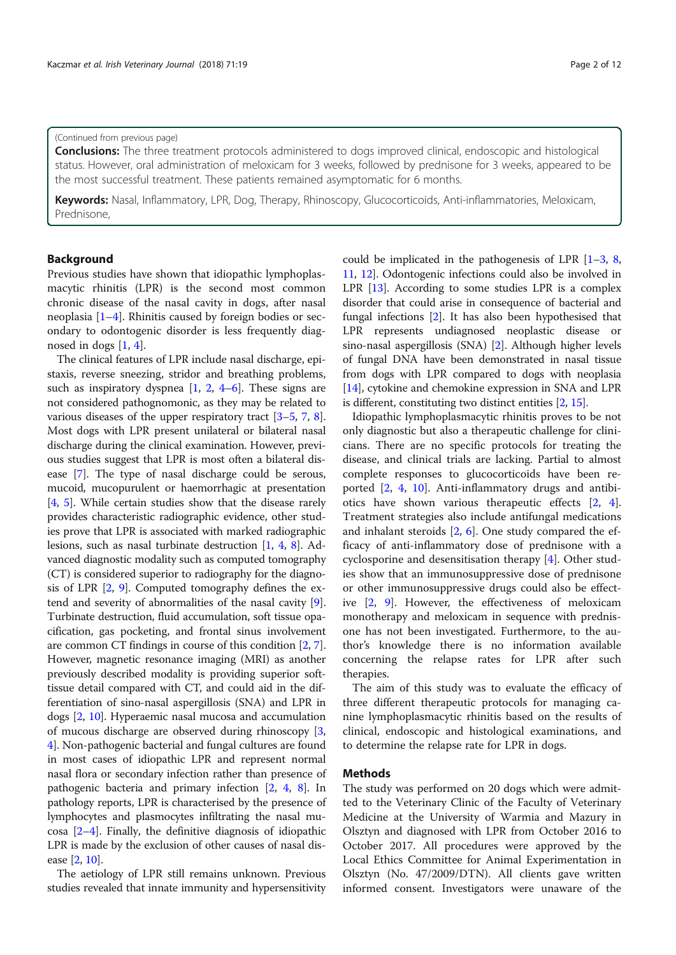# (Continued from previous page)

**Conclusions:** The three treatment protocols administered to dogs improved clinical, endoscopic and histological status. However, oral administration of meloxicam for 3 weeks, followed by prednisone for 3 weeks, appeared to be the most successful treatment. These patients remained asymptomatic for 6 months.

Keywords: Nasal, Inflammatory, LPR, Dog, Therapy, Rhinoscopy, Glucocorticoids, Anti-inflammatories, Meloxicam, Prednisone,

## Background

Previous studies have shown that idiopathic lymphoplasmacytic rhinitis (LPR) is the second most common chronic disease of the nasal cavity in dogs, after nasal neoplasia [1–4]. Rhinitis caused by foreign bodies or secondary to odontogenic disorder is less frequently diagnosed in dogs [1, 4].

The clinical features of LPR include nasal discharge, epistaxis, reverse sneezing, stridor and breathing problems, such as inspiratory dyspnea [1, 2, 4–6]. These signs are not considered pathognomonic, as they may be related to various diseases of the upper respiratory tract [3–5, 7, 8]. Most dogs with LPR present unilateral or bilateral nasal discharge during the clinical examination. However, previous studies suggest that LPR is most often a bilateral disease [7]. The type of nasal discharge could be serous, mucoid, mucopurulent or haemorrhagic at presentation [4, 5]. While certain studies show that the disease rarely provides characteristic radiographic evidence, other studies prove that LPR is associated with marked radiographic lesions, such as nasal turbinate destruction [1, 4, 8]. Advanced diagnostic modality such as computed tomography (CT) is considered superior to radiography for the diagnosis of LPR  $[2, 9]$ . Computed tomography defines the extend and severity of abnormalities of the nasal cavity [9]. Turbinate destruction, fluid accumulation, soft tissue opacification, gas pocketing, and frontal sinus involvement are common CT findings in course of this condition [2, 7]. However, magnetic resonance imaging (MRI) as another previously described modality is providing superior softtissue detail compared with CT, and could aid in the differentiation of sino-nasal aspergillosis (SNA) and LPR in dogs [2, 10]. Hyperaemic nasal mucosa and accumulation of mucous discharge are observed during rhinoscopy [3, 4]. Non-pathogenic bacterial and fungal cultures are found in most cases of idiopathic LPR and represent normal nasal flora or secondary infection rather than presence of pathogenic bacteria and primary infection [2, 4, 8]. In pathology reports, LPR is characterised by the presence of lymphocytes and plasmocytes infiltrating the nasal mucosa [2–4]. Finally, the definitive diagnosis of idiopathic LPR is made by the exclusion of other causes of nasal disease [2, 10].

The aetiology of LPR still remains unknown. Previous studies revealed that innate immunity and hypersensitivity could be implicated in the pathogenesis of LPR  $[1-3, 8, 8]$ 11, 12]. Odontogenic infections could also be involved in LPR [13]. According to some studies LPR is a complex disorder that could arise in consequence of bacterial and fungal infections [2]. It has also been hypothesised that LPR represents undiagnosed neoplastic disease or sino-nasal aspergillosis (SNA) [2]. Although higher levels of fungal DNA have been demonstrated in nasal tissue from dogs with LPR compared to dogs with neoplasia [14], cytokine and chemokine expression in SNA and LPR is different, constituting two distinct entities [2, 15].

Idiopathic lymphoplasmacytic rhinitis proves to be not only diagnostic but also a therapeutic challenge for clinicians. There are no specific protocols for treating the disease, and clinical trials are lacking. Partial to almost complete responses to glucocorticoids have been reported [2, 4, 10]. Anti-inflammatory drugs and antibiotics have shown various therapeutic effects [2, 4]. Treatment strategies also include antifungal medications and inhalant steroids [2, 6]. One study compared the efficacy of anti-inflammatory dose of prednisone with a cyclosporine and desensitisation therapy [4]. Other studies show that an immunosuppressive dose of prednisone or other immunosuppressive drugs could also be effective [2, 9]. However, the effectiveness of meloxicam monotherapy and meloxicam in sequence with prednisone has not been investigated. Furthermore, to the author's knowledge there is no information available concerning the relapse rates for LPR after such therapies.

The aim of this study was to evaluate the efficacy of three different therapeutic protocols for managing canine lymphoplasmacytic rhinitis based on the results of clinical, endoscopic and histological examinations, and to determine the relapse rate for LPR in dogs.

#### Methods

The study was performed on 20 dogs which were admitted to the Veterinary Clinic of the Faculty of Veterinary Medicine at the University of Warmia and Mazury in Olsztyn and diagnosed with LPR from October 2016 to October 2017. All procedures were approved by the Local Ethics Committee for Animal Experimentation in Olsztyn (No. 47/2009/DTN). All clients gave written informed consent. Investigators were unaware of the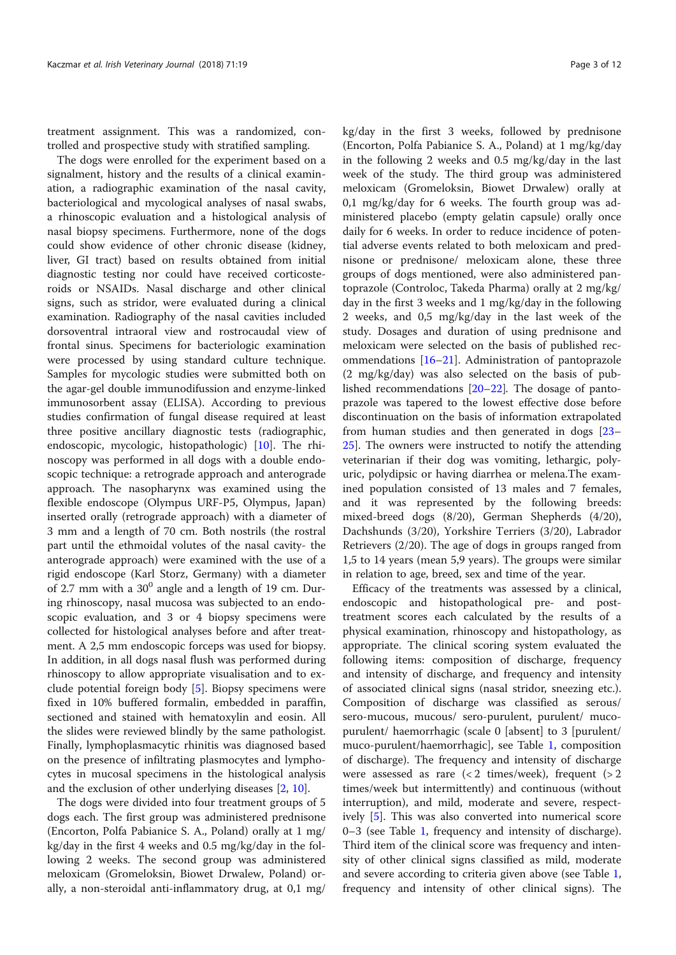treatment assignment. This was a randomized, controlled and prospective study with stratified sampling.

The dogs were enrolled for the experiment based on a signalment, history and the results of a clinical examination, a radiographic examination of the nasal cavity, bacteriological and mycological analyses of nasal swabs, a rhinoscopic evaluation and a histological analysis of nasal biopsy specimens. Furthermore, none of the dogs could show evidence of other chronic disease (kidney, liver, GI tract) based on results obtained from initial diagnostic testing nor could have received corticosteroids or NSAIDs. Nasal discharge and other clinical signs, such as stridor, were evaluated during a clinical examination. Radiography of the nasal cavities included dorsoventral intraoral view and rostrocaudal view of frontal sinus. Specimens for bacteriologic examination were processed by using standard culture technique. Samples for mycologic studies were submitted both on the agar-gel double immunodifussion and enzyme-linked immunosorbent assay (ELISA). According to previous studies confirmation of fungal disease required at least three positive ancillary diagnostic tests (radiographic, endoscopic, mycologic, histopathologic) [10]. The rhinoscopy was performed in all dogs with a double endoscopic technique: a retrograde approach and anterograde approach. The nasopharynx was examined using the flexible endoscope (Olympus URF-P5, Olympus, Japan) inserted orally (retrograde approach) with a diameter of 3 mm and a length of 70 cm. Both nostrils (the rostral part until the ethmoidal volutes of the nasal cavity- the anterograde approach) were examined with the use of a rigid endoscope (Karl Storz, Germany) with a diameter of 2.7 mm with a  $30^0$  angle and a length of 19 cm. During rhinoscopy, nasal mucosa was subjected to an endoscopic evaluation, and 3 or 4 biopsy specimens were collected for histological analyses before and after treatment. A 2,5 mm endoscopic forceps was used for biopsy. In addition, in all dogs nasal flush was performed during rhinoscopy to allow appropriate visualisation and to exclude potential foreign body [5]. Biopsy specimens were fixed in 10% buffered formalin, embedded in paraffin, sectioned and stained with hematoxylin and eosin. All the slides were reviewed blindly by the same pathologist. Finally, lymphoplasmacytic rhinitis was diagnosed based on the presence of infiltrating plasmocytes and lymphocytes in mucosal specimens in the histological analysis and the exclusion of other underlying diseases [2, 10].

The dogs were divided into four treatment groups of 5 dogs each. The first group was administered prednisone (Encorton, Polfa Pabianice S. A., Poland) orally at 1 mg/ kg/day in the first 4 weeks and 0.5 mg/kg/day in the following 2 weeks. The second group was administered meloxicam (Gromeloksin, Biowet Drwalew, Poland) orally, a non-steroidal anti-inflammatory drug, at 0,1 mg/

kg/day in the first 3 weeks, followed by prednisone (Encorton, Polfa Pabianice S. A., Poland) at 1 mg/kg/day in the following 2 weeks and 0.5 mg/kg/day in the last week of the study. The third group was administered meloxicam (Gromeloksin, Biowet Drwalew) orally at 0,1 mg/kg/day for 6 weeks. The fourth group was administered placebo (empty gelatin capsule) orally once daily for 6 weeks. In order to reduce incidence of potential adverse events related to both meloxicam and prednisone or prednisone/ meloxicam alone, these three groups of dogs mentioned, were also administered pantoprazole (Controloc, Takeda Pharma) orally at 2 mg/kg/ day in the first 3 weeks and 1 mg/kg/day in the following 2 weeks, and 0,5 mg/kg/day in the last week of the study. Dosages and duration of using prednisone and meloxicam were selected on the basis of published recommendations [16–21]. Administration of pantoprazole (2 mg/kg/day) was also selected on the basis of published recommendations [20–22]. The dosage of pantoprazole was tapered to the lowest effective dose before discontinuation on the basis of information extrapolated from human studies and then generated in dogs [23– 25]. The owners were instructed to notify the attending veterinarian if their dog was vomiting, lethargic, polyuric, polydipsic or having diarrhea or melena.The examined population consisted of 13 males and 7 females, and it was represented by the following breeds: mixed-breed dogs (8/20), German Shepherds (4/20), Dachshunds (3/20), Yorkshire Terriers (3/20), Labrador Retrievers (2/20). The age of dogs in groups ranged from 1,5 to 14 years (mean 5,9 years). The groups were similar in relation to age, breed, sex and time of the year.

Efficacy of the treatments was assessed by a clinical, endoscopic and histopathological pre- and posttreatment scores each calculated by the results of a physical examination, rhinoscopy and histopathology, as appropriate. The clinical scoring system evaluated the following items: composition of discharge, frequency and intensity of discharge, and frequency and intensity of associated clinical signs (nasal stridor, sneezing etc.). Composition of discharge was classified as serous/ sero-mucous, mucous/ sero-purulent, purulent/ mucopurulent/ haemorrhagic (scale 0 [absent] to 3 [purulent/ muco-purulent/haemorrhagic], see Table 1, composition of discharge). The frequency and intensity of discharge were assessed as rare  $(< 2$  times/week), frequent  $(> 2$ times/week but intermittently) and continuous (without interruption), and mild, moderate and severe, respectively [5]. This was also converted into numerical score 0–3 (see Table 1, frequency and intensity of discharge). Third item of the clinical score was frequency and intensity of other clinical signs classified as mild, moderate and severe according to criteria given above (see Table 1, frequency and intensity of other clinical signs). The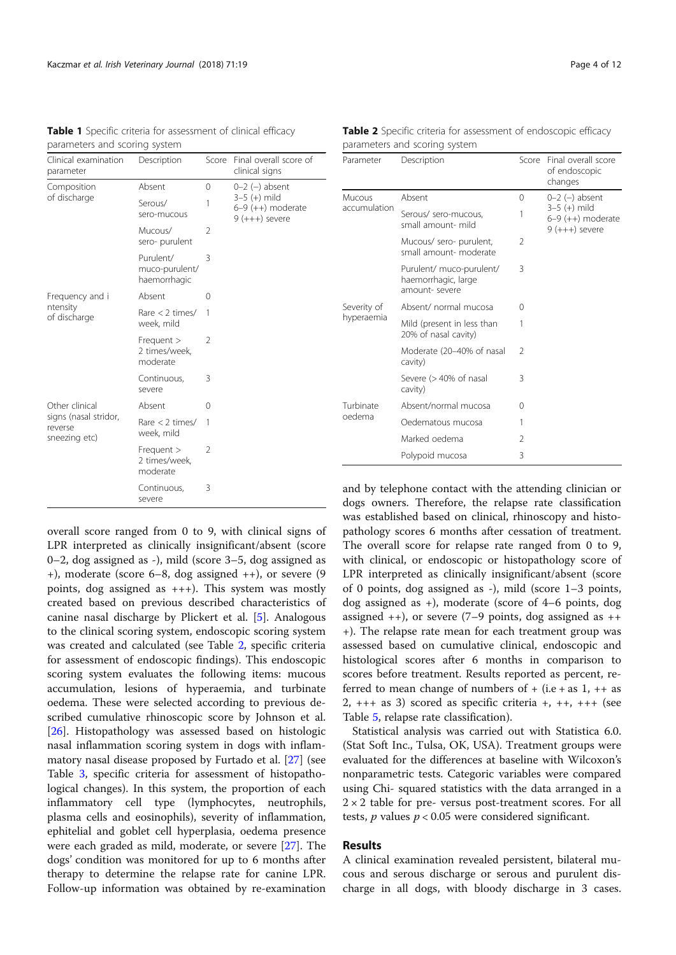|                                                                                                                                                   | parameters and scoring system<br>Score Final overall score of |                |                                                           |                           | parameters and scoring system                            |              |                                                          |  |  |
|---------------------------------------------------------------------------------------------------------------------------------------------------|---------------------------------------------------------------|----------------|-----------------------------------------------------------|---------------------------|----------------------------------------------------------|--------------|----------------------------------------------------------|--|--|
| Clinical examination<br>parameter                                                                                                                 | Description                                                   |                | clinical signs                                            | Parameter                 | Description                                              |              | Score Final overall score<br>of endoscopic               |  |  |
| Composition<br>of discharge<br>Frequency and i<br>ntensity<br>of discharge<br>Other clinical<br>signs (nasal stridor,<br>reverse<br>sneezing etc) | Absent                                                        | $\Omega$       | $0-2$ (-) absent                                          |                           |                                                          |              | changes                                                  |  |  |
|                                                                                                                                                   | Serous/<br>sero-mucous                                        |                | $3-5 (+)$ mild<br>$6-9 (++)$ moderate<br>$9 (+++)$ severe | Mucous<br>accumulation    | Absent<br>Serous/ sero-mucous.                           | 0            | $0-2$ (-) absent<br>$3-5 (+)$ mild<br>$6-9 (++)$ moderat |  |  |
|                                                                                                                                                   | Mucous/                                                       | 2              |                                                           |                           | small amount- mild                                       |              | $9 (+++)$ severe                                         |  |  |
|                                                                                                                                                   | sero-purulent                                                 |                |                                                           |                           | Mucous/ sero- purulent,<br>small amount- moderate        | 2            |                                                          |  |  |
|                                                                                                                                                   | Purulent/<br>muco-purulent/<br>haemorrhagic                   | 3              |                                                           |                           | Purulent/ muco-purulent/<br>haemorrhagic, large          | 3            |                                                          |  |  |
|                                                                                                                                                   | Absent                                                        | $\Omega$       |                                                           | Severity of<br>hyperaemia | amount- severe                                           |              |                                                          |  |  |
|                                                                                                                                                   | Rare $<$ 2 times/                                             | $\mathbf{1}$   |                                                           |                           | Absent/ normal mucosa                                    | $\circ$      |                                                          |  |  |
|                                                                                                                                                   | week, mild                                                    |                |                                                           |                           | Mild (present in less than<br>20% of nasal cavity)       | $\mathbf{1}$ |                                                          |  |  |
|                                                                                                                                                   | Frequent ><br>2 times/week.<br>moderate                       | 2              |                                                           |                           | Moderate (20-40% of nasal<br>cavity)                     | 2            |                                                          |  |  |
|                                                                                                                                                   | Continuous,<br>severe                                         | 3              |                                                           |                           | Severe (> 40% of nasal<br>cavity)                        | 3            |                                                          |  |  |
|                                                                                                                                                   | Absent                                                        | 0              |                                                           | Turbinate                 | Absent/normal mucosa                                     | $\circ$      |                                                          |  |  |
|                                                                                                                                                   | Rare $<$ 2 times/                                             | $\overline{1}$ |                                                           | oedema                    | Oedematous mucosa                                        |              |                                                          |  |  |
|                                                                                                                                                   | week, mild                                                    |                |                                                           |                           | Marked oedema                                            | 2            |                                                          |  |  |
|                                                                                                                                                   | Frequent ><br>2 times/week,<br>moderate                       | $\overline{2}$ |                                                           |                           | Polypoid mucosa                                          | 3            |                                                          |  |  |
|                                                                                                                                                   | Continuous,                                                   | 3              |                                                           |                           | and by telephone contact with the attending clinician on |              |                                                          |  |  |

severe

Table 1 Specific criteria for assessment of clinical efficacy

overall score ranged from 0 to 9, with clinical signs of LPR interpreted as clinically insignificant/absent (score 0–2, dog assigned as -), mild (score 3–5, dog assigned as +), moderate (score 6–8, dog assigned ++), or severe (9 points, dog assigned as +++). This system was mostly created based on previous described characteristics of canine nasal discharge by Plickert et al. [5]. Analogous to the clinical scoring system, endoscopic scoring system was created and calculated (see Table 2, specific criteria for assessment of endoscopic findings). This endoscopic scoring system evaluates the following items: mucous accumulation, lesions of hyperaemia, and turbinate oedema. These were selected according to previous described cumulative rhinoscopic score by Johnson et al. [26]. Histopathology was assessed based on histologic nasal inflammation scoring system in dogs with inflammatory nasal disease proposed by Furtado et al. [27] (see Table 3, specific criteria for assessment of histopathological changes). In this system, the proportion of each inflammatory cell type (lymphocytes, neutrophils, plasma cells and eosinophils), severity of inflammation, ephitelial and goblet cell hyperplasia, oedema presence were each graded as mild, moderate, or severe [27]. The dogs' condition was monitored for up to 6 months after therapy to determine the relapse rate for canine LPR. Follow-up information was obtained by re-examination

Table 2 Specific criteria for assessment of endoscopic efficacy parameters and scoring system

and by telephone contact with the attending clinician or dogs owners. Therefore, the relapse rate classification was established based on clinical, rhinoscopy and histopathology scores 6 months after cessation of treatment. The overall score for relapse rate ranged from 0 to 9, with clinical, or endoscopic or histopathology score of LPR interpreted as clinically insignificant/absent (score of 0 points, dog assigned as -), mild (score 1–3 points, dog assigned as +), moderate (score of 4–6 points, dog assigned  $++$ ), or severe (7–9 points, dog assigned as  $++$ +). The relapse rate mean for each treatment group was assessed based on cumulative clinical, endoscopic and histological scores after 6 months in comparison to scores before treatment. Results reported as percent, referred to mean change of numbers of  $+$  (i.e  $+$  as 1,  $++$  as  $2,$  +++ as 3) scored as specific criteria +, ++, +++ (see Table 5, relapse rate classification).

Statistical analysis was carried out with Statistica 6.0. (Stat Soft Inc., Tulsa, OK, USA). Treatment groups were evaluated for the differences at baseline with Wilcoxon's nonparametric tests. Categoric variables were compared using Chi- squared statistics with the data arranged in a  $2 \times 2$  table for pre- versus post-treatment scores. For all tests,  $p$  values  $p < 0.05$  were considered significant.

#### Results

A clinical examination revealed persistent, bilateral mucous and serous discharge or serous and purulent discharge in all dogs, with bloody discharge in 3 cases.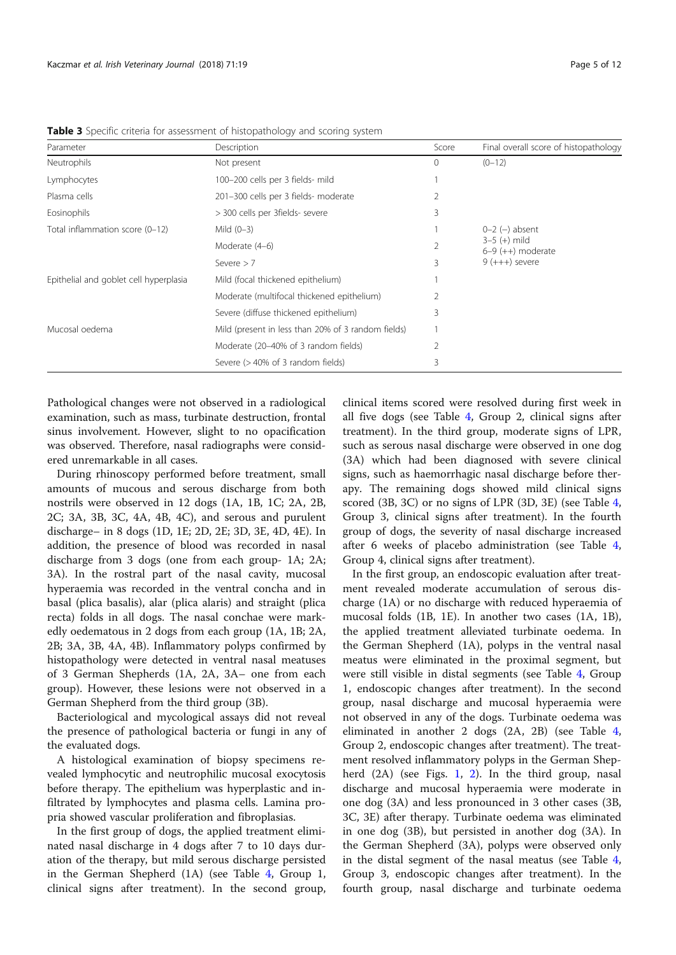| Parameter                              | Description                                        | Score          | Final overall score of histopathology |
|----------------------------------------|----------------------------------------------------|----------------|---------------------------------------|
| Neutrophils                            | Not present                                        | $\circ$        | $(0 - 12)$                            |
| Lymphocytes                            | 100-200 cells per 3 fields- mild                   |                |                                       |
| Plasma cells                           | 201-300 cells per 3 fields- moderate               | 2              |                                       |
| Eosinophils                            | > 300 cells per 3fields- severe                    | 3              |                                       |
| Total inflammation score (0-12)        | Mild $(0-3)$                                       |                | $0-2$ $(-)$ absent                    |
|                                        | Moderate (4-6)                                     | $\overline{2}$ | $3-5 (+)$ mild<br>$6-9 (++)$ moderate |
|                                        | 3<br>Severe $> 7$                                  |                | $9 (+++)$ severe                      |
| Epithelial and goblet cell hyperplasia | Mild (focal thickened epithelium)                  |                |                                       |
|                                        | Moderate (multifocal thickened epithelium)         | $\overline{2}$ |                                       |
|                                        | Severe (diffuse thickened epithelium)              | 3              |                                       |
| Mucosal oedema                         | Mild (present in less than 20% of 3 random fields) |                |                                       |
|                                        | Moderate (20–40% of 3 random fields)               | $\mathfrak{D}$ |                                       |
|                                        | Severe $(>40\%$ of 3 random fields)                | 3              |                                       |

Table 3 Specific criteria for assessment of histopathology and scoring system

Pathological changes were not observed in a radiological examination, such as mass, turbinate destruction, frontal sinus involvement. However, slight to no opacification was observed. Therefore, nasal radiographs were considered unremarkable in all cases.

During rhinoscopy performed before treatment, small amounts of mucous and serous discharge from both nostrils were observed in 12 dogs (1A, 1B, 1C; 2A, 2B, 2C; 3A, 3B, 3C, 4A, 4B, 4C), and serous and purulent discharge– in 8 dogs (1D, 1E; 2D, 2E; 3D, 3E, 4D, 4E). In addition, the presence of blood was recorded in nasal discharge from 3 dogs (one from each group- 1A; 2A; 3A). In the rostral part of the nasal cavity, mucosal hyperaemia was recorded in the ventral concha and in basal (plica basalis), alar (plica alaris) and straight (plica recta) folds in all dogs. The nasal conchae were markedly oedematous in 2 dogs from each group (1A, 1B; 2A, 2B; 3A, 3B, 4A, 4B). Inflammatory polyps confirmed by histopathology were detected in ventral nasal meatuses of 3 German Shepherds (1A, 2A, 3A– one from each group). However, these lesions were not observed in a German Shepherd from the third group (3B).

Bacteriological and mycological assays did not reveal the presence of pathological bacteria or fungi in any of the evaluated dogs.

A histological examination of biopsy specimens revealed lymphocytic and neutrophilic mucosal exocytosis before therapy. The epithelium was hyperplastic and infiltrated by lymphocytes and plasma cells. Lamina propria showed vascular proliferation and fibroplasias.

In the first group of dogs, the applied treatment eliminated nasal discharge in 4 dogs after 7 to 10 days duration of the therapy, but mild serous discharge persisted in the German Shepherd (1A) (see Table 4, Group 1, clinical signs after treatment). In the second group,

clinical items scored were resolved during first week in all five dogs (see Table 4, Group 2, clinical signs after treatment). In the third group, moderate signs of LPR, such as serous nasal discharge were observed in one dog (3A) which had been diagnosed with severe clinical signs, such as haemorrhagic nasal discharge before therapy. The remaining dogs showed mild clinical signs scored (3B, 3C) or no signs of LPR (3D, 3E) (see Table 4, Group 3, clinical signs after treatment). In the fourth group of dogs, the severity of nasal discharge increased after 6 weeks of placebo administration (see Table 4, Group 4, clinical signs after treatment).

In the first group, an endoscopic evaluation after treatment revealed moderate accumulation of serous discharge (1A) or no discharge with reduced hyperaemia of mucosal folds (1B, 1E). In another two cases (1A, 1B), the applied treatment alleviated turbinate oedema. In the German Shepherd (1A), polyps in the ventral nasal meatus were eliminated in the proximal segment, but were still visible in distal segments (see Table 4, Group 1, endoscopic changes after treatment). In the second group, nasal discharge and mucosal hyperaemia were not observed in any of the dogs. Turbinate oedema was eliminated in another 2 dogs (2A, 2B) (see Table 4, Group 2, endoscopic changes after treatment). The treatment resolved inflammatory polyps in the German Shepherd (2A) (see Figs. 1, 2). In the third group, nasal discharge and mucosal hyperaemia were moderate in one dog (3A) and less pronounced in 3 other cases (3B, 3C, 3E) after therapy. Turbinate oedema was eliminated in one dog (3B), but persisted in another dog (3A). In the German Shepherd (3A), polyps were observed only in the distal segment of the nasal meatus (see Table 4, Group 3, endoscopic changes after treatment). In the fourth group, nasal discharge and turbinate oedema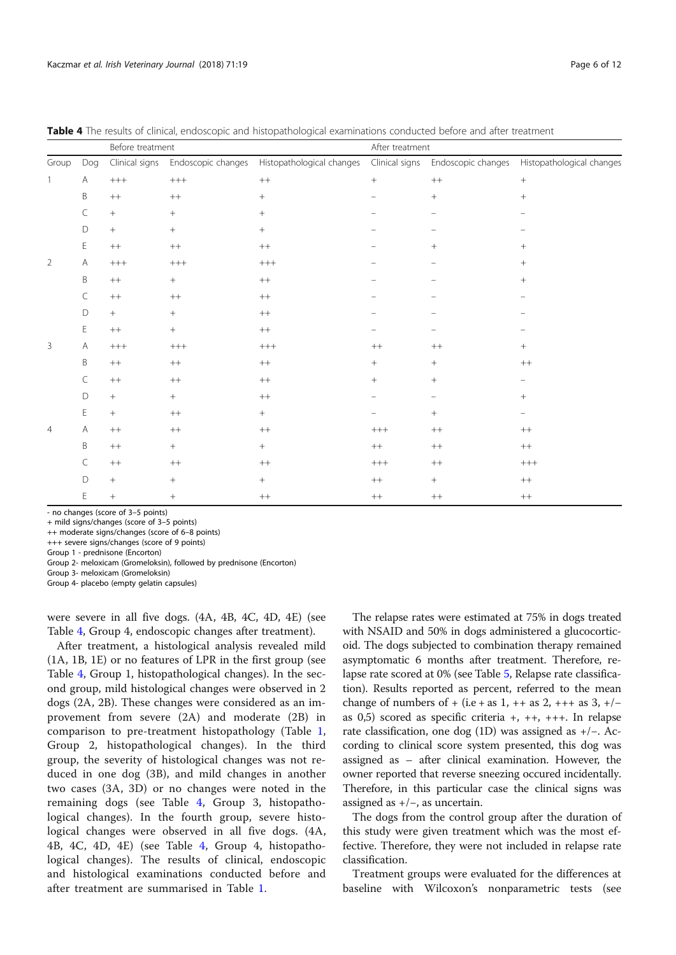|                |     | Before treatment |                    |                           | After treatment   |                    |                                |
|----------------|-----|------------------|--------------------|---------------------------|-------------------|--------------------|--------------------------------|
| Group          | Dog | Clinical signs   | Endoscopic changes | Histopathological changes | Clinical signs    | Endoscopic changes | Histopathological changes      |
| $\overline{1}$ | A   | $^{+++}$         | $^{+++}$           | $^{++}$                   | $^{+}$            | $++$               | $\boldsymbol{+}$               |
|                | B   | $++$             | $^{++}$            | $\! + \!\!\!\!$           |                   | $^{+}$             | $\, +$                         |
|                | C   | $\! +$           | $\boldsymbol{+}$   |                           | $\equiv$          | $\qquad \qquad -$  | $\qquad \qquad \longleftarrow$ |
|                | D   | $+$              | $\, +$             | $^{+}$                    |                   |                    |                                |
|                | E   | $++$             | $^{++}$            | $^{++}\,$                 |                   |                    | $^{+}$                         |
| 2              | Α   | $^{+++}$         | $^{+++}$           | $^{+++}$                  |                   |                    | $^{+}$                         |
|                | B   | $++$             | $\boldsymbol{+}$   | $^{++}$                   | $\qquad \qquad -$ |                    | $\! + \!\!\!\!$                |
|                | C   | $++$             | $^{++}$            | $^{++}$                   |                   |                    |                                |
|                | D   | $+$              | $\! + \!\!\!\!$    | $^{++}$                   |                   |                    |                                |
|                | E   | $++$             | $\, +$             | $++$                      |                   |                    |                                |
| 3              | Α   | $^{+++}$         | $^{+++}$           | $^{+++}$                  | $^{++}$           | $++$               | $^{+}$                         |
|                | B   | $++$             | $^{++}\,$          | $^{++}$                   | $^{+}$            | $\! + \!\!\!\!$    | $++$                           |
|                | C   | $++$             | $^{++}$            | $^{++}$                   | $^{+}$            | $\! + \!\!\!\!$    | -                              |
|                | D   | $\! +$           | $\! + \!\!\!\!$    | $^{++}\,$                 |                   |                    | $\! + \!\!\!\!$                |
|                | E   | $+$              | $^{++}\,$          | $^{+}$                    |                   | $^{+}$             | -                              |
| $\overline{4}$ | A   | $++$             | $^{++}\,$          | $++$                      | $^{+++}$          | $++$               | $++$                           |
|                | B   | $++$             | $\! + \!\!\!\!$    | $^{+}$                    | $^{++}$           | $++$               | $^{++}$                        |
|                | C   | $^{++}\,$        | $^{++}\,$          | $^{++}\,$                 | $++++$            | $++$               | $^{+++}$                       |
|                | D   | $^{+}$           | $\! +$             | $^{+}$                    | $++$              | $^{+}$             | $++$                           |
|                | E   | $+$              | $\boldsymbol{+}$   | $++$                      | $^{++}$           | $++$               | $^{++}$                        |

Table 4 The results of clinical, endoscopic and histopathological examinations conducted before and after treatment

- no changes (score of 3–5 points)

+ mild signs/changes (score of 3–5 points)

++ moderate signs/changes (score of 6–8 points)

+++ severe signs/changes (score of 9 points)

Group 1 - prednisone (Encorton)

Group 2- meloxicam (Gromeloksin), followed by prednisone (Encorton)

Group 3- meloxicam (Gromeloksin)

Group 4- placebo (empty gelatin capsules)

were severe in all five dogs. (4A, 4B, 4C, 4D, 4E) (see Table 4, Group 4, endoscopic changes after treatment).

After treatment, a histological analysis revealed mild (1A, 1B, 1E) or no features of LPR in the first group (see Table 4, Group 1, histopathological changes). In the second group, mild histological changes were observed in 2 dogs (2A, 2B). These changes were considered as an improvement from severe (2A) and moderate (2B) in comparison to pre-treatment histopathology (Table 1, Group 2, histopathological changes). In the third group, the severity of histological changes was not reduced in one dog (3B), and mild changes in another two cases (3A, 3D) or no changes were noted in the remaining dogs (see Table 4, Group 3, histopathological changes). In the fourth group, severe histological changes were observed in all five dogs. (4A, 4B, 4C, 4D, 4E) (see Table 4, Group 4, histopathological changes). The results of clinical, endoscopic and histological examinations conducted before and after treatment are summarised in Table 1.

The relapse rates were estimated at 75% in dogs treated with NSAID and 50% in dogs administered a glucocorticoid. The dogs subjected to combination therapy remained asymptomatic 6 months after treatment. Therefore, relapse rate scored at 0% (see Table 5, Relapse rate classification). Results reported as percent, referred to the mean change of numbers of + (i.e + as 1, ++ as 2, +++ as 3, +/as 0,5) scored as specific criteria +, ++, +++. In relapse rate classification, one dog (1D) was assigned as +/−. According to clinical score system presented, this dog was assigned as – after clinical examination. However, the owner reported that reverse sneezing occured incidentally. Therefore, in this particular case the clinical signs was assigned as +/−, as uncertain.

The dogs from the control group after the duration of this study were given treatment which was the most effective. Therefore, they were not included in relapse rate classification.

Treatment groups were evaluated for the differences at baseline with Wilcoxon's nonparametric tests (see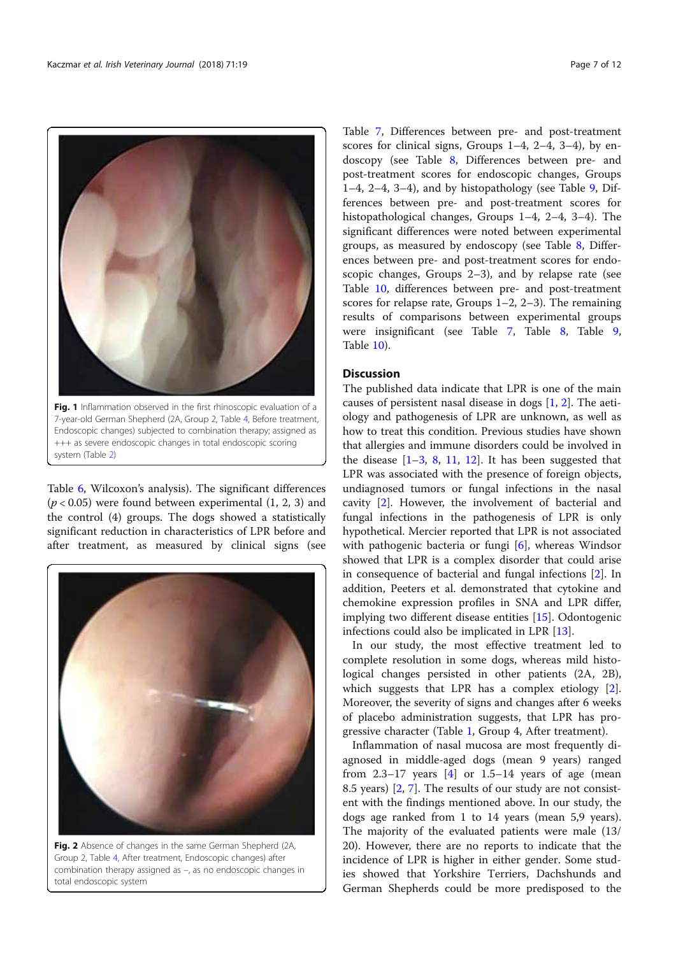

Endoscopic changes) subjected to combination therapy; assigned as +++ as severe endoscopic changes in total endoscopic scoring system (Table 2)

Table 6, Wilcoxon's analysis). The significant differences  $(p < 0.05)$  were found between experimental  $(1, 2, 3)$  and the control (4) groups. The dogs showed a statistically significant reduction in characteristics of LPR before and after treatment, as measured by clinical signs (see



Fig. 2 Absence of changes in the same German Shepherd (2A, Group 2, Table 4, After treatment, Endoscopic changes) after combination therapy assigned as –, as no endoscopic changes in total endoscopic system

Table 7, Differences between pre- and post-treatment scores for clinical signs, Groups 1–4, 2–4, 3–4), by endoscopy (see Table 8, Differences between pre- and post-treatment scores for endoscopic changes, Groups 1–4, 2–4, 3–4), and by histopathology (see Table  $9$ , Differences between pre- and post-treatment scores for histopathological changes, Groups 1–4, 2–4, 3–4). The significant differences were noted between experimental groups, as measured by endoscopy (see Table 8, Differences between pre- and post-treatment scores for endoscopic changes, Groups 2–3), and by relapse rate (see Table 10, differences between pre- and post-treatment scores for relapse rate, Groups 1–2, 2–3). The remaining results of comparisons between experimental groups were insignificant (see Table 7, Table 8, Table 9, Table 10).

# **Discussion**

The published data indicate that LPR is one of the main causes of persistent nasal disease in dogs [1, 2]. The aetiology and pathogenesis of LPR are unknown, as well as how to treat this condition. Previous studies have shown that allergies and immune disorders could be involved in the disease  $[1-3, 8, 11, 12]$ . It has been suggested that LPR was associated with the presence of foreign objects, undiagnosed tumors or fungal infections in the nasal cavity [2]. However, the involvement of bacterial and fungal infections in the pathogenesis of LPR is only hypothetical. Mercier reported that LPR is not associated with pathogenic bacteria or fungi [6], whereas Windsor showed that LPR is a complex disorder that could arise in consequence of bacterial and fungal infections [2]. In addition, Peeters et al. demonstrated that cytokine and chemokine expression profiles in SNA and LPR differ, implying two different disease entities [15]. Odontogenic infections could also be implicated in LPR [13].

In our study, the most effective treatment led to complete resolution in some dogs, whereas mild histological changes persisted in other patients (2A, 2B), which suggests that LPR has a complex etiology [2]. Moreover, the severity of signs and changes after 6 weeks of placebo administration suggests, that LPR has progressive character (Table 1, Group 4, After treatment).

Inflammation of nasal mucosa are most frequently diagnosed in middle-aged dogs (mean 9 years) ranged from  $2.3-17$  years  $[4]$  or  $1.5-14$  years of age (mean 8.5 years) [2, 7]. The results of our study are not consistent with the findings mentioned above. In our study, the dogs age ranked from 1 to 14 years (mean 5,9 years). The majority of the evaluated patients were male (13/ 20). However, there are no reports to indicate that the incidence of LPR is higher in either gender. Some studies showed that Yorkshire Terriers, Dachshunds and German Shepherds could be more predisposed to the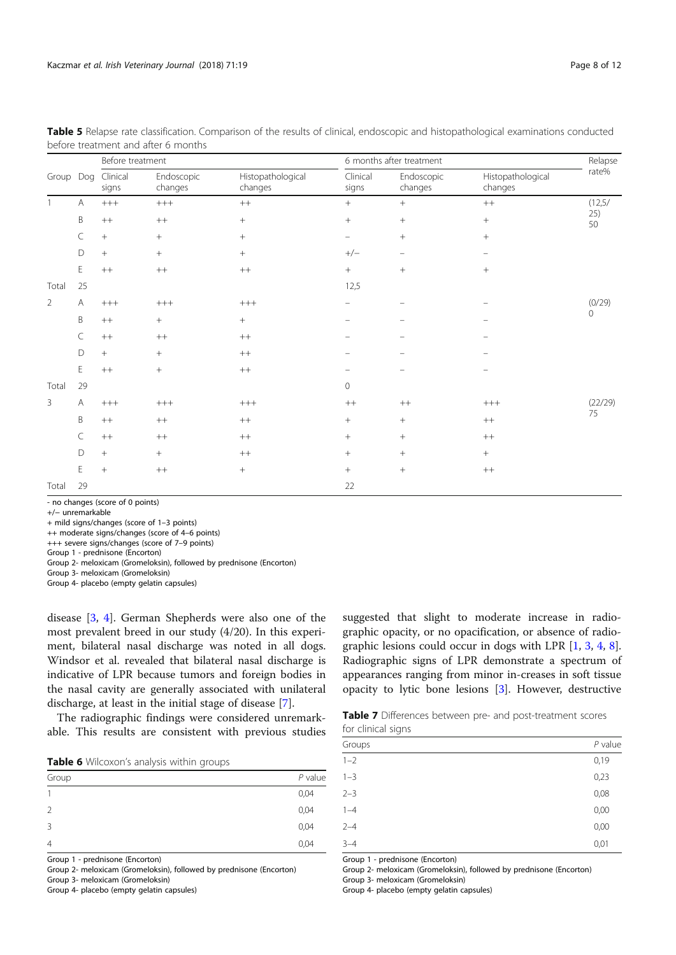|                |     | Before treatment  |                       |                              |                          | 6 months after treatment |                              | Relapse   |
|----------------|-----|-------------------|-----------------------|------------------------------|--------------------------|--------------------------|------------------------------|-----------|
| Group          | Dog | Clinical<br>signs | Endoscopic<br>changes | Histopathological<br>changes | Clinical<br>signs        | Endoscopic<br>changes    | Histopathological<br>changes | rate%     |
| $\overline{1}$ | А   | $+++$             | $^{+++}$              | $++$                         | $+$                      | $^{+}$                   | $++$                         | (12, 5/   |
|                | B   | $++$              | $++$                  | $^{+}$                       | $^{+}$                   |                          | $+$                          | 25)<br>50 |
|                | C   | $^{+}$            | $\, +$                | $^{+}$                       | $\equiv$                 | $^{+}$                   | $+$                          |           |
|                | D   | $^{+}$            | $+$                   | $+$                          | $+/-$                    | $\overline{\phantom{m}}$ | $\overline{\phantom{0}}$     |           |
|                | E   | $++$              | $^{++}$               | $++$                         | $\, +$                   | $^{+}$                   | $^{+}$                       |           |
| Total          | 25  |                   |                       |                              | 12,5                     |                          |                              |           |
| 2              | А   | $+++$             | $+++$                 | $+++$                        | $\overline{\phantom{m}}$ | -                        |                              | (0/29)    |
|                | B   | $++$              | $^{+}$                | $+$                          | $\overline{\phantom{m}}$ |                          |                              | 0         |
|                | C   | $++$              | $^{++}$               | $++$                         | $\overline{\phantom{m}}$ | -                        | $\overline{\phantom{0}}$     |           |
|                | D   | $^{+}$            | $+$                   | $++$                         | -                        | -                        | -                            |           |
|                | E   | $++$              | $\! +$                | $++$                         |                          |                          | -                            |           |
| Total          | 29  |                   |                       |                              | $\mathbf 0$              |                          |                              |           |
| 3              | А   | $+++$             | $+++$                 | $++++$                       | $++$                     | $++$                     | $^{+++}$                     | (22/29)   |
|                | B   | $++$              | $++$                  | $++$                         | $+$                      |                          | $++$                         | 75        |
|                | C   | $++$              | $^{++}$               | $++$                         | $+$                      | $+$                      | $++$                         |           |
|                | D   |                   | $+$                   | $++$                         | $\boldsymbol{+}$         | $\! + \!\!\!\!$          | $+$                          |           |
|                | E   | $+$               | $^{++}$               | $^{+}$                       | $\! +$                   | $+$                      | $++$                         |           |
| Total          | 29  |                   |                       |                              | 22                       |                          |                              |           |

| Table 5 Relapse rate classification. Comparison of the results of clinical, endoscopic and histopathological examinations conducted |  |  |  |  |  |
|-------------------------------------------------------------------------------------------------------------------------------------|--|--|--|--|--|
| before treatment and after 6 months                                                                                                 |  |  |  |  |  |

- no changes (score of 0 points)

+/− unremarkable

+ mild signs/changes (score of 1–3 points)

++ moderate signs/changes (score of 4–6 points)

+++ severe signs/changes (score of 7–9 points)

Group 1 - prednisone (Encorton)

Group 2- meloxicam (Gromeloksin), followed by prednisone (Encorton)

Group 3- meloxicam (Gromeloksin)

Group 4- placebo (empty gelatin capsules)

disease [3, 4]. German Shepherds were also one of the most prevalent breed in our study (4/20). In this experiment, bilateral nasal discharge was noted in all dogs. Windsor et al. revealed that bilateral nasal discharge is indicative of LPR because tumors and foreign bodies in the nasal cavity are generally associated with unilateral discharge, at least in the initial stage of disease [7].

The radiographic findings were considered unremarkable. This results are consistent with previous studies

|  | Table 6 Wilcoxon's analysis within groups |  |  |  |
|--|-------------------------------------------|--|--|--|
|--|-------------------------------------------|--|--|--|

| Group         | $P$ value |
|---------------|-----------|
|               | 0,04      |
| $\mathcal{L}$ | 0,04      |
| 3             | 0,04      |
| 4             | 0,04      |
|               |           |

Group 1 - prednisone (Encorton)

Group 2- meloxicam (Gromeloksin), followed by prednisone (Encorton)

Group 3- meloxicam (Gromeloksin)

Group 4- placebo (empty gelatin capsules)

suggested that slight to moderate increase in radiographic opacity, or no opacification, or absence of radiographic lesions could occur in dogs with LPR [1, 3, 4, 8]. Radiographic signs of LPR demonstrate a spectrum of appearances ranging from minor in-creases in soft tissue opacity to lytic bone lesions [3]. However, destructive

| Table 7 Differences between pre- and post-treatment scores |  |  |
|------------------------------------------------------------|--|--|
| for clinical signs                                         |  |  |

| Groups  | $P$ value |
|---------|-----------|
| $1 - 2$ | 0,19      |
| $1 - 3$ | 0,23      |
| $2 - 3$ | 0,08      |
| $1 - 4$ | 0,00      |
| $2 - 4$ | 0,00      |
| $3 - 4$ | 0,01      |

Group 1 - prednisone (Encorton)

Group 2- meloxicam (Gromeloksin), followed by prednisone (Encorton)

Group 3- meloxicam (Gromeloksin)

Group 4- placebo (empty gelatin capsules)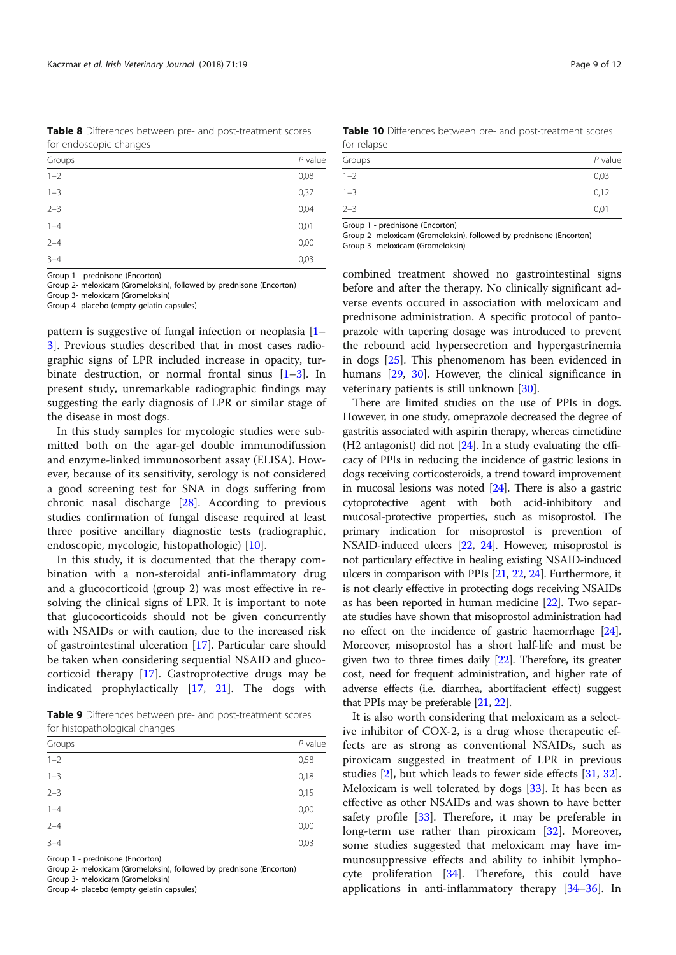Table 8 Differences between pre- and post-treatment scores for endoscopic changes

| Groups  | $P$ value |
|---------|-----------|
| $1 - 2$ | 0,08      |
| $1 - 3$ | 0,37      |
| $2 - 3$ | 0,04      |
| $1 - 4$ | 0,01      |
| $2 - 4$ | 0,00      |
| $3 - 4$ | 0,03      |

Group 1 - prednisone (Encorton)

Group 2- meloxicam (Gromeloksin), followed by prednisone (Encorton) Group 3- meloxicam (Gromeloksin)

Group 4- placebo (empty gelatin capsules)

pattern is suggestive of fungal infection or neoplasia [1– 3]. Previous studies described that in most cases radiographic signs of LPR included increase in opacity, turbinate destruction, or normal frontal sinus  $[1-3]$ . In present study, unremarkable radiographic findings may suggesting the early diagnosis of LPR or similar stage of the disease in most dogs.

In this study samples for mycologic studies were submitted both on the agar-gel double immunodifussion and enzyme-linked immunosorbent assay (ELISA). However, because of its sensitivity, serology is not considered a good screening test for SNA in dogs suffering from chronic nasal discharge [28]. According to previous studies confirmation of fungal disease required at least three positive ancillary diagnostic tests (radiographic, endoscopic, mycologic, histopathologic) [10].

In this study, it is documented that the therapy combination with a non-steroidal anti-inflammatory drug and a glucocorticoid (group 2) was most effective in resolving the clinical signs of LPR. It is important to note that glucocorticoids should not be given concurrently with NSAIDs or with caution, due to the increased risk of gastrointestinal ulceration [17]. Particular care should be taken when considering sequential NSAID and glucocorticoid therapy [17]. Gastroprotective drugs may be indicated prophylactically [17, 21]. The dogs with

Table 9 Differences between pre- and post-treatment scores for histopathological changes

| . .<br>-<br>÷ |           |
|---------------|-----------|
| Groups        | $P$ value |
| $1 - 2$       | 0,58      |
| $1 - 3$       | 0,18      |
| $2 - 3$       | 0,15      |
| $1 - 4$       | 0,00      |
| $2 - 4$       | 0,00      |
| $3 - 4$       | 0,03      |
|               |           |

Group 1 - prednisone (Encorton)

Group 2- meloxicam (Gromeloksin), followed by prednisone (Encorton)

Group 3- meloxicam (Gromeloksin)

Group 4- placebo (empty gelatin capsules)

Table 10 Differences between pre- and post-treatment scores for relapse

| Groups<br>$P$ value<br>$1 - 2$<br>0,03<br>$1 - 3$<br>0,12<br>$2 - 3$<br>0,01 |  |
|------------------------------------------------------------------------------|--|
|                                                                              |  |
|                                                                              |  |
|                                                                              |  |
|                                                                              |  |

Group 1 - prednisone (Encorton)

Group 2- meloxicam (Gromeloksin), followed by prednisone (Encorton) Group 3- meloxicam (Gromeloksin)

combined treatment showed no gastrointestinal signs before and after the therapy. No clinically significant adverse events occured in association with meloxicam and prednisone administration. A specific protocol of pantoprazole with tapering dosage was introduced to prevent the rebound acid hypersecretion and hypergastrinemia in dogs [25]. This phenomenom has been evidenced in humans [29, 30]. However, the clinical significance in veterinary patients is still unknown [30].

There are limited studies on the use of PPIs in dogs. However, in one study, omeprazole decreased the degree of gastritis associated with aspirin therapy, whereas cimetidine  $(H2$  antagonist) did not  $[24]$ . In a study evaluating the efficacy of PPIs in reducing the incidence of gastric lesions in dogs receiving corticosteroids, a trend toward improvement in mucosal lesions was noted [24]. There is also a gastric cytoprotective agent with both acid-inhibitory and mucosal-protective properties, such as misoprostol. The primary indication for misoprostol is prevention of NSAID-induced ulcers [22, 24]. However, misoprostol is not particulary effective in healing existing NSAID-induced ulcers in comparison with PPIs [21, 22, 24]. Furthermore, it is not clearly effective in protecting dogs receiving NSAIDs as has been reported in human medicine [22]. Two separate studies have shown that misoprostol administration had no effect on the incidence of gastric haemorrhage [24]. Moreover, misoprostol has a short half-life and must be given two to three times daily [22]. Therefore, its greater cost, need for frequent administration, and higher rate of adverse effects (i.e. diarrhea, abortifacient effect) suggest that PPIs may be preferable [21, 22].

It is also worth considering that meloxicam as a selective inhibitor of COX-2, is a drug whose therapeutic effects are as strong as conventional NSAIDs, such as piroxicam suggested in treatment of LPR in previous studies [2], but which leads to fewer side effects [31, 32]. Meloxicam is well tolerated by dogs [33]. It has been as effective as other NSAIDs and was shown to have better safety profile [33]. Therefore, it may be preferable in long-term use rather than piroxicam [32]. Moreover, some studies suggested that meloxicam may have immunosuppressive effects and ability to inhibit lymphocyte proliferation  $[34]$ . Therefore, this could have applications in anti-inflammatory therapy [34–36]. In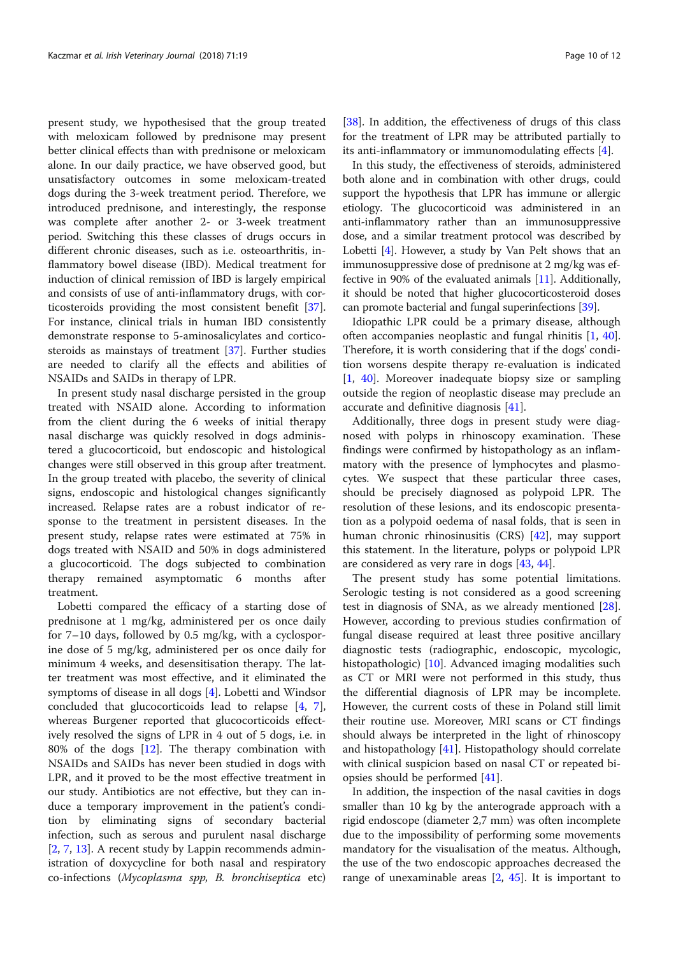present study, we hypothesised that the group treated with meloxicam followed by prednisone may present better clinical effects than with prednisone or meloxicam alone. In our daily practice, we have observed good, but unsatisfactory outcomes in some meloxicam-treated dogs during the 3-week treatment period. Therefore, we introduced prednisone, and interestingly, the response was complete after another 2- or 3-week treatment period. Switching this these classes of drugs occurs in different chronic diseases, such as i.e. osteoarthritis, inflammatory bowel disease (IBD). Medical treatment for induction of clinical remission of IBD is largely empirical and consists of use of anti-inflammatory drugs, with corticosteroids providing the most consistent benefit [37]. For instance, clinical trials in human IBD consistently demonstrate response to 5-aminosalicylates and corticosteroids as mainstays of treatment [37]. Further studies are needed to clarify all the effects and abilities of NSAIDs and SAIDs in therapy of LPR.

In present study nasal discharge persisted in the group treated with NSAID alone. According to information from the client during the 6 weeks of initial therapy nasal discharge was quickly resolved in dogs administered a glucocorticoid, but endoscopic and histological changes were still observed in this group after treatment. In the group treated with placebo, the severity of clinical signs, endoscopic and histological changes significantly increased. Relapse rates are a robust indicator of response to the treatment in persistent diseases. In the present study, relapse rates were estimated at 75% in dogs treated with NSAID and 50% in dogs administered a glucocorticoid. The dogs subjected to combination therapy remained asymptomatic 6 months after treatment.

Lobetti compared the efficacy of a starting dose of prednisone at 1 mg/kg, administered per os once daily for 7–10 days, followed by 0.5 mg/kg, with a cyclosporine dose of 5 mg/kg, administered per os once daily for minimum 4 weeks, and desensitisation therapy. The latter treatment was most effective, and it eliminated the symptoms of disease in all dogs [4]. Lobetti and Windsor concluded that glucocorticoids lead to relapse [4, 7], whereas Burgener reported that glucocorticoids effectively resolved the signs of LPR in 4 out of 5 dogs, i.e. in 80% of the dogs [12]. The therapy combination with NSAIDs and SAIDs has never been studied in dogs with LPR, and it proved to be the most effective treatment in our study. Antibiotics are not effective, but they can induce a temporary improvement in the patient's condition by eliminating signs of secondary bacterial infection, such as serous and purulent nasal discharge [2, 7, 13]. A recent study by Lappin recommends administration of doxycycline for both nasal and respiratory co-infections (Mycoplasma spp, B. bronchiseptica etc)

[38]. In addition, the effectiveness of drugs of this class for the treatment of LPR may be attributed partially to its anti-inflammatory or immunomodulating effects [4].

In this study, the effectiveness of steroids, administered both alone and in combination with other drugs, could support the hypothesis that LPR has immune or allergic etiology. The glucocorticoid was administered in an anti-inflammatory rather than an immunosuppressive dose, and a similar treatment protocol was described by Lobetti [4]. However, a study by Van Pelt shows that an immunosuppressive dose of prednisone at 2 mg/kg was effective in 90% of the evaluated animals [11]. Additionally, it should be noted that higher glucocorticosteroid doses can promote bacterial and fungal superinfections [39].

Idiopathic LPR could be a primary disease, although often accompanies neoplastic and fungal rhinitis [1, 40]. Therefore, it is worth considering that if the dogs' condition worsens despite therapy re-evaluation is indicated [1, 40]. Moreover inadequate biopsy size or sampling outside the region of neoplastic disease may preclude an accurate and definitive diagnosis [41].

Additionally, three dogs in present study were diagnosed with polyps in rhinoscopy examination. These findings were confirmed by histopathology as an inflammatory with the presence of lymphocytes and plasmocytes. We suspect that these particular three cases, should be precisely diagnosed as polypoid LPR. The resolution of these lesions, and its endoscopic presentation as a polypoid oedema of nasal folds, that is seen in human chronic rhinosinusitis (CRS) [42], may support this statement. In the literature, polyps or polypoid LPR are considered as very rare in dogs [43, 44].

The present study has some potential limitations. Serologic testing is not considered as a good screening test in diagnosis of SNA, as we already mentioned [28]. However, according to previous studies confirmation of fungal disease required at least three positive ancillary diagnostic tests (radiographic, endoscopic, mycologic, histopathologic) [10]. Advanced imaging modalities such as CT or MRI were not performed in this study, thus the differential diagnosis of LPR may be incomplete. However, the current costs of these in Poland still limit their routine use. Moreover, MRI scans or CT findings should always be interpreted in the light of rhinoscopy and histopathology [41]. Histopathology should correlate with clinical suspicion based on nasal CT or repeated biopsies should be performed [41].

In addition, the inspection of the nasal cavities in dogs smaller than 10 kg by the anterograde approach with a rigid endoscope (diameter 2,7 mm) was often incomplete due to the impossibility of performing some movements mandatory for the visualisation of the meatus. Although, the use of the two endoscopic approaches decreased the range of unexaminable areas [2, 45]. It is important to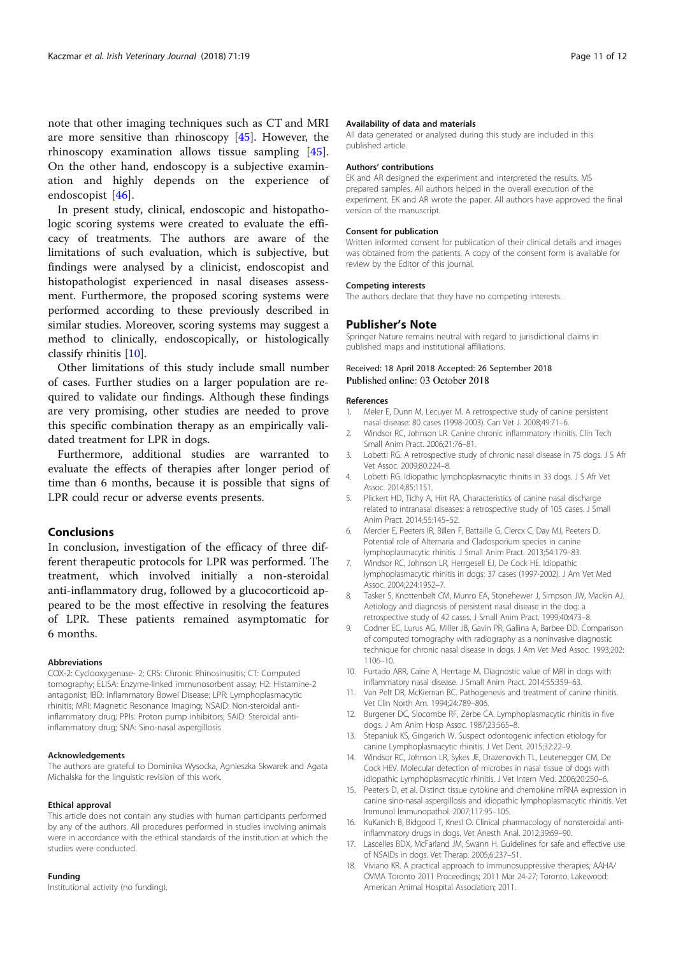note that other imaging techniques such as CT and MRI are more sensitive than rhinoscopy [45]. However, the rhinoscopy examination allows tissue sampling [45]. On the other hand, endoscopy is a subjective examination and highly depends on the experience of endoscopist [46].

In present study, clinical, endoscopic and histopathologic scoring systems were created to evaluate the efficacy of treatments. The authors are aware of the limitations of such evaluation, which is subjective, but findings were analysed by a clinicist, endoscopist and histopathologist experienced in nasal diseases assessment. Furthermore, the proposed scoring systems were performed according to these previously described in similar studies. Moreover, scoring systems may suggest a method to clinically, endoscopically, or histologically classify rhinitis [10].

Other limitations of this study include small number of cases. Further studies on a larger population are required to validate our findings. Although these findings are very promising, other studies are needed to prove this specific combination therapy as an empirically validated treatment for LPR in dogs.

Furthermore, additional studies are warranted to evaluate the effects of therapies after longer period of time than 6 months, because it is possible that signs of LPR could recur or adverse events presents.

### Conclusions

In conclusion, investigation of the efficacy of three different therapeutic protocols for LPR was performed. The treatment, which involved initially a non-steroidal anti-inflammatory drug, followed by a glucocorticoid appeared to be the most effective in resolving the features of LPR. These patients remained asymptomatic for 6 months.

#### Abbreviations

COX-2: Cyclooxygenase- 2; CRS: Chronic Rhinosinusitis; CT: Computed tomography; ELISA: Enzyme-linked immunosorbent assay; H2: Histamine-2 antagonist; IBD: Inflammatory Bowel Disease; LPR: Lymphoplasmacytic rhinitis; MRI: Magnetic Resonance Imaging; NSAID: Non-steroidal antiinflammatory drug; PPIs: Proton pump inhibitors; SAID: Steroidal antiinflammatory drug; SNA: Sino-nasal aspergillosis

### Acknowledgements

The authors are grateful to Dominika Wysocka, Agnieszka Skwarek and Agata Michalska for the linguistic revision of this work.

#### Ethical approval

This article does not contain any studies with human participants performed by any of the authors. All procedures performed in studies involving animals were in accordance with the ethical standards of the institution at which the studies were conducted.

#### Funding

Institutional activity (no funding).

#### Availability of data and materials

All data generated or analysed during this study are included in this published article.

#### Authors' contributions

EK and AR designed the experiment and interpreted the results. MS prepared samples. All authors helped in the overall execution of the experiment. EK and AR wrote the paper. All authors have approved the final version of the manuscript.

#### Consent for publication

Written informed consent for publication of their clinical details and images was obtained from the patients. A copy of the consent form is available for review by the Editor of this journal.

#### Competing interests

The authors declare that they have no competing interests.

#### Publisher's Note

Springer Nature remains neutral with regard to jurisdictional claims in published maps and institutional affiliations.

# Received: 18 April 2018 Accepted: 26 September 2018<br>Published online: 03 October 2018

#### References

- 1. Meler E, Dunn M, Lecuyer M. A retrospective study of canine persistent nasal disease: 80 cases (1998-2003). Can Vet J. 2008;49:71–6.
- 2. Windsor RC, Johnson LR. Canine chronic inflammatory rhinitis. Clin Tech Small Anim Pract. 2006;21:76–81.
- 3. Lobetti RG. A retrospective study of chronic nasal disease in 75 dogs. J S Afr Vet Assoc. 2009;80:224–8.
- 4. Lobetti RG. Idiopathic lymphoplasmacytic rhinitis in 33 dogs. J S Afr Vet Assoc. 2014;85:1151.
- 5. Plickert HD, Tichy A, Hirt RA. Characteristics of canine nasal discharge related to intranasal diseases: a retrospective study of 105 cases. J Small Anim Pract. 2014;55:145–52.
- 6. Mercier E, Peeters IR, Billen F, Battaille G, Clercx C, Day MJ, Peeters D. Potential role of Alternaria and Cladosporium species in canine lymphoplasmacytic rhinitis. J Small Anim Pract. 2013;54:179–83.
- 7. Windsor RC, Johnson LR, Herrgesell EJ, De Cock HE. Idiopathic lymphoplasmacytic rhinitis in dogs: 37 cases (1997-2002). J Am Vet Med Assoc. 2004;224:1952–7.
- 8. Tasker S, Knottenbelt CM, Munro EA, Stonehewer J, Simpson JW, Mackin AJ. Aetiology and diagnosis of persistent nasal disease in the dog: a retrospective study of 42 cases. J Small Anim Pract. 1999;40:473–8.
- 9. Codner EC, Lurus AG, Miller JB, Gavin PR, Gallina A, Barbee DD. Comparison of computed tomography with radiography as a noninvasive diagnostic technique for chronic nasal disease in dogs. J Am Vet Med Assoc. 1993;202: 1106–10.
- 10. Furtado ARR, Caine A, Herrtage M. Diagnostic value of MRI in dogs with inflammatory nasal disease. J Small Anim Pract. 2014;55:359–63.
- 11. Van Pelt DR, McKiernan BC. Pathogenesis and treatment of canine rhinitis. Vet Clin North Am. 1994;24:789–806.
- 12. Burgener DC, Slocombe RF, Zerbe CA. Lymphoplasmacytic rhinitis in five dogs. J Am Anim Hosp Assoc. 1987;23:565–8.
- 13. Stepaniuk KS, Gingerich W. Suspect odontogenic infection etiology for canine Lymphoplasmacytic rhinitis. J Vet Dent. 2015;32:22–9.
- 14. Windsor RC, Johnson LR, Sykes JE, Drazenovich TL, Leutenegger CM, De Cock HEV. Molecular detection of microbes in nasal tissue of dogs with idiopathic Lymphoplasmacytic rhinitis. J Vet Intern Med. 2006;20:250–6.
- 15. Peeters D, et al. Distinct tissue cytokine and chemokine mRNA expression in canine sino-nasal aspergillosis and idiopathic lymphoplasmacytic rhinitis. Vet Immunol Immunopathol. 2007;117:95–105.
- 16. KuKanich B, Bidgood T, Knesl O. Clinical pharmacology of nonsteroidal antiinflammatory drugs in dogs. Vet Anesth Anal. 2012;39:69–90.
- 17. Lascelles BDX, McFarland JM, Swann H. Guidelines for safe and effective use of NSAIDs in dogs. Vet Therap. 2005;6:237–51.
- 18. Viviano KR. A practical approach to immunosuppressive therapies; AAHA/ OVMA Toronto 2011 Proceedings; 2011 Mar 24-27; Toronto. Lakewood: American Animal Hospital Association; 2011.